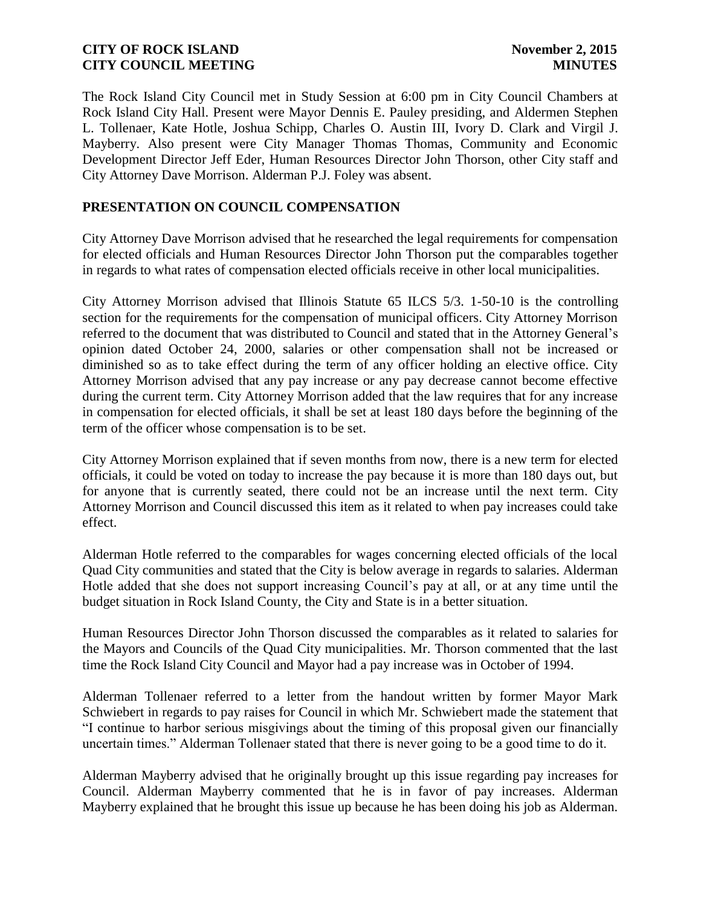The Rock Island City Council met in Study Session at 6:00 pm in City Council Chambers at Rock Island City Hall. Present were Mayor Dennis E. Pauley presiding, and Aldermen Stephen L. Tollenaer, Kate Hotle, Joshua Schipp, Charles O. Austin III, Ivory D. Clark and Virgil J. Mayberry. Also present were City Manager Thomas Thomas, Community and Economic Development Director Jeff Eder, Human Resources Director John Thorson, other City staff and City Attorney Dave Morrison. Alderman P.J. Foley was absent.

# **PRESENTATION ON COUNCIL COMPENSATION**

City Attorney Dave Morrison advised that he researched the legal requirements for compensation for elected officials and Human Resources Director John Thorson put the comparables together in regards to what rates of compensation elected officials receive in other local municipalities.

City Attorney Morrison advised that Illinois Statute 65 ILCS 5/3. 1-50-10 is the controlling section for the requirements for the compensation of municipal officers. City Attorney Morrison referred to the document that was distributed to Council and stated that in the Attorney General's opinion dated October 24, 2000, salaries or other compensation shall not be increased or diminished so as to take effect during the term of any officer holding an elective office. City Attorney Morrison advised that any pay increase or any pay decrease cannot become effective during the current term. City Attorney Morrison added that the law requires that for any increase in compensation for elected officials, it shall be set at least 180 days before the beginning of the term of the officer whose compensation is to be set.

City Attorney Morrison explained that if seven months from now, there is a new term for elected officials, it could be voted on today to increase the pay because it is more than 180 days out, but for anyone that is currently seated, there could not be an increase until the next term. City Attorney Morrison and Council discussed this item as it related to when pay increases could take effect.

Alderman Hotle referred to the comparables for wages concerning elected officials of the local Quad City communities and stated that the City is below average in regards to salaries. Alderman Hotle added that she does not support increasing Council's pay at all, or at any time until the budget situation in Rock Island County, the City and State is in a better situation.

Human Resources Director John Thorson discussed the comparables as it related to salaries for the Mayors and Councils of the Quad City municipalities. Mr. Thorson commented that the last time the Rock Island City Council and Mayor had a pay increase was in October of 1994.

Alderman Tollenaer referred to a letter from the handout written by former Mayor Mark Schwiebert in regards to pay raises for Council in which Mr. Schwiebert made the statement that "I continue to harbor serious misgivings about the timing of this proposal given our financially uncertain times." Alderman Tollenaer stated that there is never going to be a good time to do it.

Alderman Mayberry advised that he originally brought up this issue regarding pay increases for Council. Alderman Mayberry commented that he is in favor of pay increases. Alderman Mayberry explained that he brought this issue up because he has been doing his job as Alderman.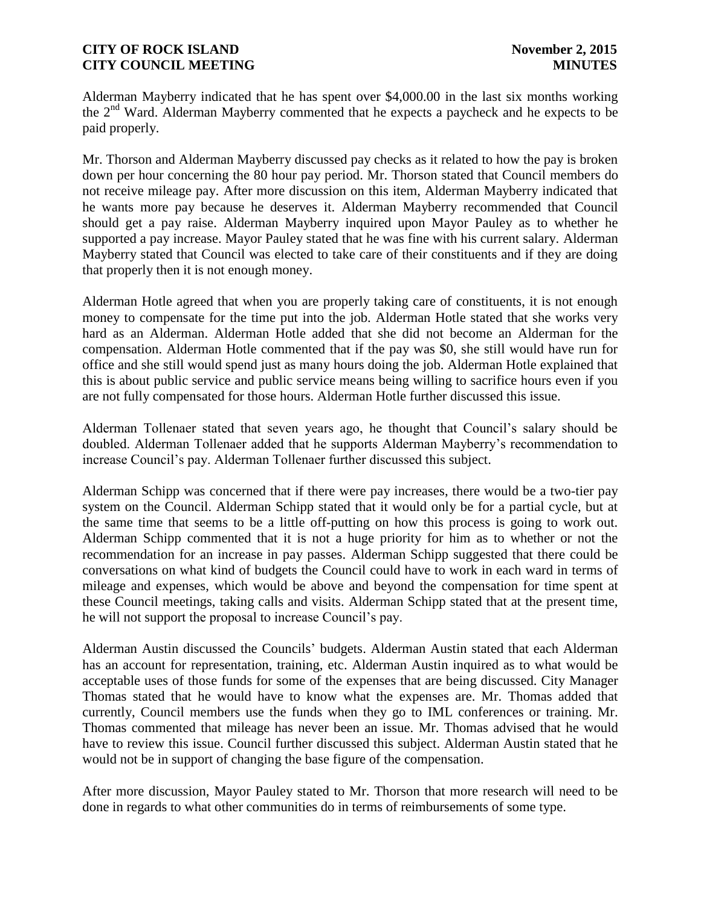Alderman Mayberry indicated that he has spent over \$4,000.00 in the last six months working the  $2<sup>nd</sup>$  Ward. Alderman Mayberry commented that he expects a paycheck and he expects to be paid properly.

Mr. Thorson and Alderman Mayberry discussed pay checks as it related to how the pay is broken down per hour concerning the 80 hour pay period. Mr. Thorson stated that Council members do not receive mileage pay. After more discussion on this item, Alderman Mayberry indicated that he wants more pay because he deserves it. Alderman Mayberry recommended that Council should get a pay raise. Alderman Mayberry inquired upon Mayor Pauley as to whether he supported a pay increase. Mayor Pauley stated that he was fine with his current salary. Alderman Mayberry stated that Council was elected to take care of their constituents and if they are doing that properly then it is not enough money.

Alderman Hotle agreed that when you are properly taking care of constituents, it is not enough money to compensate for the time put into the job. Alderman Hotle stated that she works very hard as an Alderman. Alderman Hotle added that she did not become an Alderman for the compensation. Alderman Hotle commented that if the pay was \$0, she still would have run for office and she still would spend just as many hours doing the job. Alderman Hotle explained that this is about public service and public service means being willing to sacrifice hours even if you are not fully compensated for those hours. Alderman Hotle further discussed this issue.

Alderman Tollenaer stated that seven years ago, he thought that Council's salary should be doubled. Alderman Tollenaer added that he supports Alderman Mayberry's recommendation to increase Council's pay. Alderman Tollenaer further discussed this subject.

Alderman Schipp was concerned that if there were pay increases, there would be a two-tier pay system on the Council. Alderman Schipp stated that it would only be for a partial cycle, but at the same time that seems to be a little off-putting on how this process is going to work out. Alderman Schipp commented that it is not a huge priority for him as to whether or not the recommendation for an increase in pay passes. Alderman Schipp suggested that there could be conversations on what kind of budgets the Council could have to work in each ward in terms of mileage and expenses, which would be above and beyond the compensation for time spent at these Council meetings, taking calls and visits. Alderman Schipp stated that at the present time, he will not support the proposal to increase Council's pay.

Alderman Austin discussed the Councils' budgets. Alderman Austin stated that each Alderman has an account for representation, training, etc. Alderman Austin inquired as to what would be acceptable uses of those funds for some of the expenses that are being discussed. City Manager Thomas stated that he would have to know what the expenses are. Mr. Thomas added that currently, Council members use the funds when they go to IML conferences or training. Mr. Thomas commented that mileage has never been an issue. Mr. Thomas advised that he would have to review this issue. Council further discussed this subject. Alderman Austin stated that he would not be in support of changing the base figure of the compensation.

After more discussion, Mayor Pauley stated to Mr. Thorson that more research will need to be done in regards to what other communities do in terms of reimbursements of some type.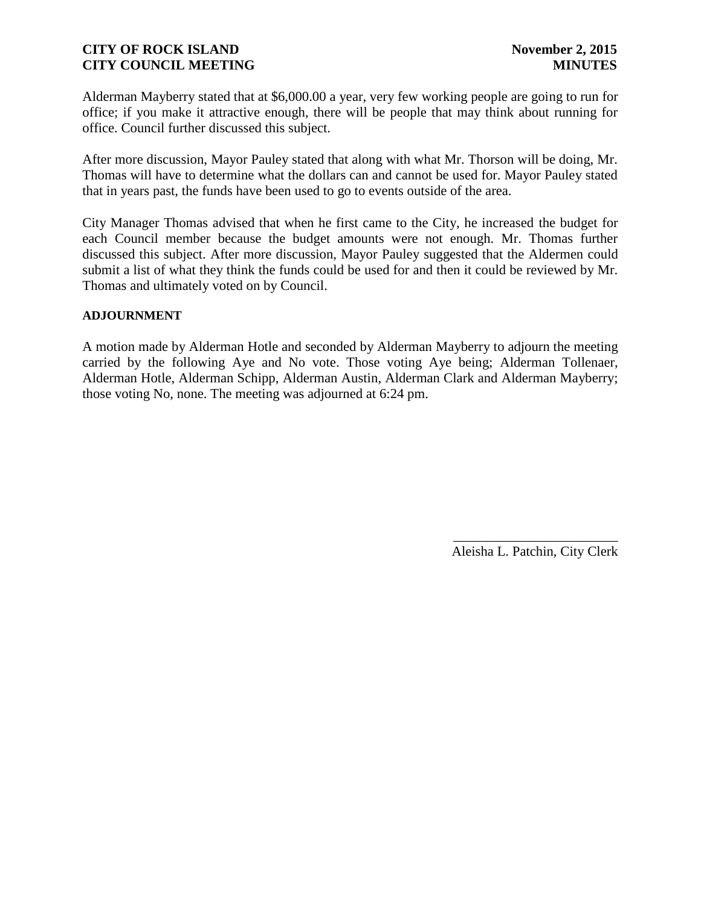Alderman Mayberry stated that at \$6,000.00 a year, very few working people are going to run for office; if you make it attractive enough, there will be people that may think about running for office. Council further discussed this subject.

After more discussion, Mayor Pauley stated that along with what Mr. Thorson will be doing, Mr. Thomas will have to determine what the dollars can and cannot be used for. Mayor Pauley stated that in years past, the funds have been used to go to events outside of the area.

City Manager Thomas advised that when he first came to the City, he increased the budget for each Council member because the budget amounts were not enough. Mr. Thomas further discussed this subject. After more discussion, Mayor Pauley suggested that the Aldermen could submit a list of what they think the funds could be used for and then it could be reviewed by Mr. Thomas and ultimately voted on by Council.

### **ADJOURNMENT**

A motion made by Alderman Hotle and seconded by Alderman Mayberry to adjourn the meeting carried by the following Aye and No vote. Those voting Aye being; Alderman Tollenaer, Alderman Hotle, Alderman Schipp, Alderman Austin, Alderman Clark and Alderman Mayberry; those voting No, none. The meeting was adjourned at 6:24 pm.

> \_\_\_\_\_\_\_\_\_\_\_\_\_\_\_\_\_\_\_\_\_\_\_\_ Aleisha L. Patchin, City Clerk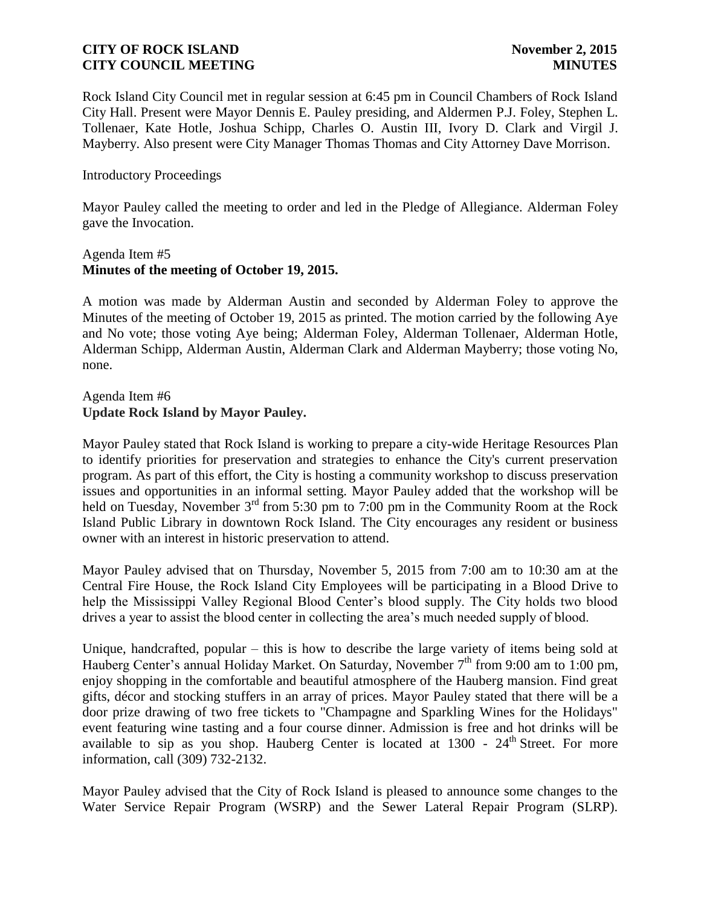Rock Island City Council met in regular session at 6:45 pm in Council Chambers of Rock Island City Hall. Present were Mayor Dennis E. Pauley presiding, and Aldermen P.J. Foley, Stephen L. Tollenaer, Kate Hotle, Joshua Schipp, Charles O. Austin III, Ivory D. Clark and Virgil J. Mayberry. Also present were City Manager Thomas Thomas and City Attorney Dave Morrison.

### Introductory Proceedings

Mayor Pauley called the meeting to order and led in the Pledge of Allegiance. Alderman Foley gave the Invocation.

### Agenda Item #5 **Minutes of the meeting of October 19, 2015.**

A motion was made by Alderman Austin and seconded by Alderman Foley to approve the Minutes of the meeting of October 19, 2015 as printed. The motion carried by the following Aye and No vote; those voting Aye being; Alderman Foley, Alderman Tollenaer, Alderman Hotle, Alderman Schipp, Alderman Austin, Alderman Clark and Alderman Mayberry; those voting No, none.

# Agenda Item #6 **Update Rock Island by Mayor Pauley.**

Mayor Pauley stated that Rock Island is working to prepare a city-wide Heritage Resources Plan to identify priorities for preservation and strategies to enhance the City's current preservation program. As part of this effort, the City is hosting a community workshop to discuss preservation issues and opportunities in an informal setting. Mayor Pauley added that the workshop will be held on Tuesday, November  $3<sup>rd</sup>$  from 5:30 pm to 7:00 pm in the Community Room at the Rock Island Public Library in downtown Rock Island. The City encourages any resident or business owner with an interest in historic preservation to attend.

Mayor Pauley advised that on Thursday, November 5, 2015 from 7:00 am to 10:30 am at the Central Fire House, the Rock Island City Employees will be participating in a Blood Drive to help the Mississippi Valley Regional Blood Center's blood supply. The City holds two blood drives a year to assist the blood center in collecting the area's much needed supply of blood.

Unique, handcrafted, popular – this is how to describe the large variety of items being sold at Hauberg Center's annual Holiday Market. On Saturday, November 7<sup>th</sup> from 9:00 am to 1:00 pm, enjoy shopping in the comfortable and beautiful atmosphere of the Hauberg mansion. Find great gifts, décor and stocking stuffers in an array of prices. Mayor Pauley stated that there will be a door prize drawing of two free tickets to "Champagne and Sparkling Wines for the Holidays" event featuring wine tasting and a four course dinner. Admission is free and hot drinks will be available to sip as you shop. Hauberg Center is located at  $1300 - 24$ <sup>th</sup> Street. For more information, call (309) 732-2132.

Mayor Pauley advised that the City of Rock Island is pleased to announce some changes to the Water Service Repair Program (WSRP) and the Sewer Lateral Repair Program (SLRP).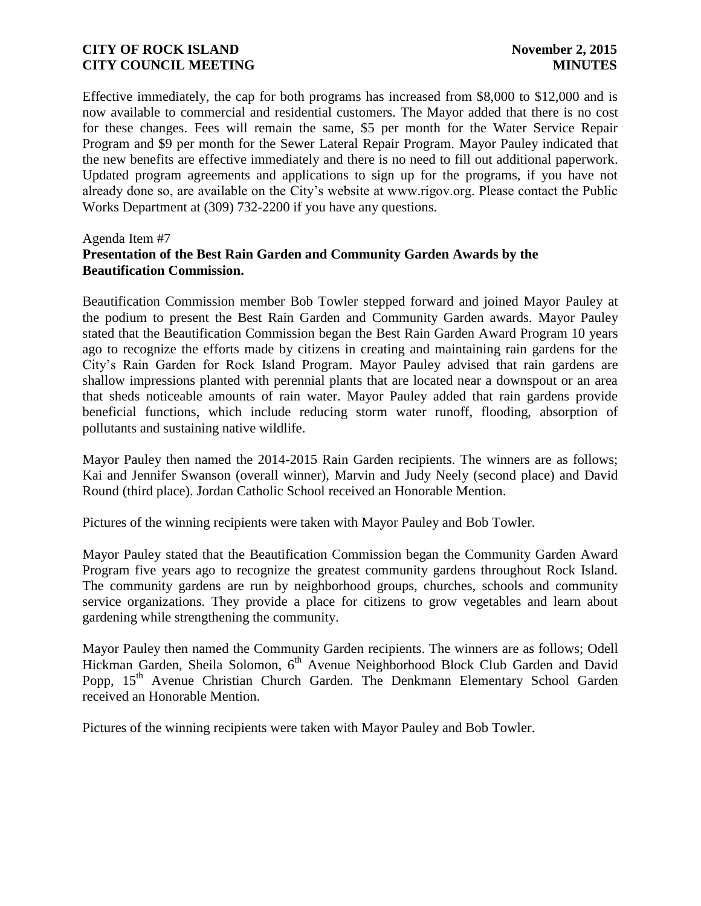Effective immediately, the cap for both programs has increased from \$8,000 to \$12,000 and is now available to commercial and residential customers. The Mayor added that there is no cost for these changes. Fees will remain the same, \$5 per month for the Water Service Repair Program and \$9 per month for the Sewer Lateral Repair Program. Mayor Pauley indicated that the new benefits are effective immediately and there is no need to fill out additional paperwork. Updated program agreements and applications to sign up for the programs, if you have not already done so, are available on the City's website at www.rigov.org. Please contact the Public Works Department at (309) 732-2200 if you have any questions.

#### Agenda Item #7

# **Presentation of the Best Rain Garden and Community Garden Awards by the Beautification Commission.**

Beautification Commission member Bob Towler stepped forward and joined Mayor Pauley at the podium to present the Best Rain Garden and Community Garden awards. Mayor Pauley stated that the Beautification Commission began the Best Rain Garden Award Program 10 years ago to recognize the efforts made by citizens in creating and maintaining rain gardens for the City's Rain Garden for Rock Island Program. Mayor Pauley advised that rain gardens are shallow impressions planted with perennial plants that are located near a downspout or an area that sheds noticeable amounts of rain water. Mayor Pauley added that rain gardens provide beneficial functions, which include reducing storm water runoff, flooding, absorption of pollutants and sustaining native wildlife.

Mayor Pauley then named the 2014-2015 Rain Garden recipients. The winners are as follows; Kai and Jennifer Swanson (overall winner), Marvin and Judy Neely (second place) and David Round (third place). Jordan Catholic School received an Honorable Mention.

Pictures of the winning recipients were taken with Mayor Pauley and Bob Towler.

Mayor Pauley stated that the Beautification Commission began the Community Garden Award Program five years ago to recognize the greatest community gardens throughout Rock Island. The community gardens are run by neighborhood groups, churches, schools and community service organizations. They provide a place for citizens to grow vegetables and learn about gardening while strengthening the community.

Mayor Pauley then named the Community Garden recipients. The winners are as follows; Odell Hickman Garden, Sheila Solomon, 6<sup>th</sup> Avenue Neighborhood Block Club Garden and David Popp, 15<sup>th</sup> Avenue Christian Church Garden. The Denkmann Elementary School Garden received an Honorable Mention.

Pictures of the winning recipients were taken with Mayor Pauley and Bob Towler.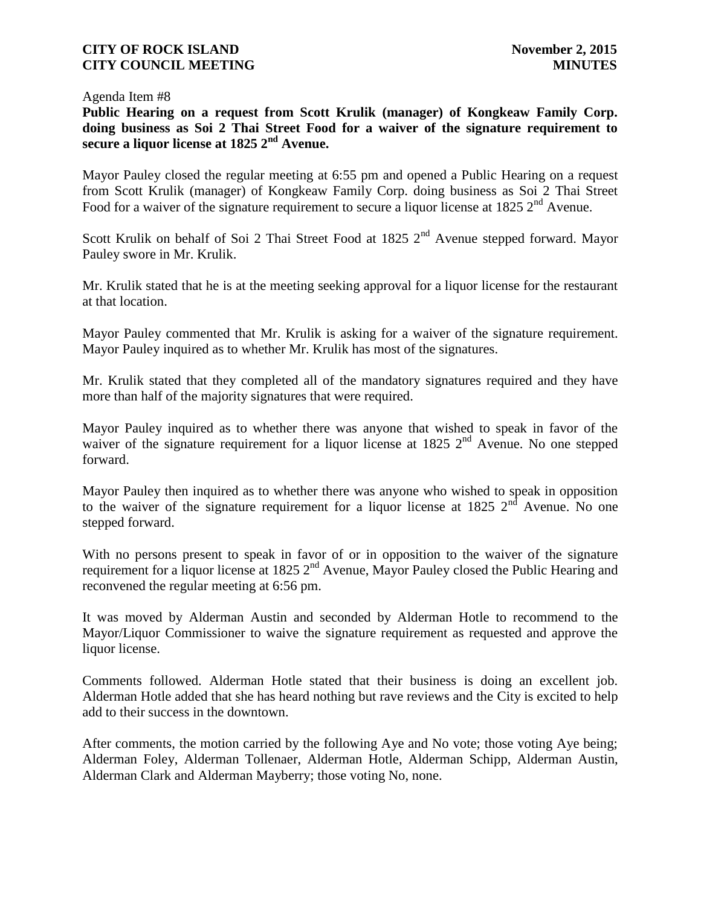#### Agenda Item #8

**Public Hearing on a request from Scott Krulik (manager) of Kongkeaw Family Corp. doing business as Soi 2 Thai Street Food for a waiver of the signature requirement to secure a liquor license at 1825 2nd Avenue.**

Mayor Pauley closed the regular meeting at 6:55 pm and opened a Public Hearing on a request from Scott Krulik (manager) of Kongkeaw Family Corp. doing business as Soi 2 Thai Street Food for a waiver of the signature requirement to secure a liquor license at 1825  $2<sup>nd</sup>$  Avenue.

Scott Krulik on behalf of Soi 2 Thai Street Food at 1825 2<sup>nd</sup> Avenue stepped forward. Mayor Pauley swore in Mr. Krulik.

Mr. Krulik stated that he is at the meeting seeking approval for a liquor license for the restaurant at that location.

Mayor Pauley commented that Mr. Krulik is asking for a waiver of the signature requirement. Mayor Pauley inquired as to whether Mr. Krulik has most of the signatures.

Mr. Krulik stated that they completed all of the mandatory signatures required and they have more than half of the majority signatures that were required.

Mayor Pauley inquired as to whether there was anyone that wished to speak in favor of the waiver of the signature requirement for a liquor license at  $1825$   $2<sup>nd</sup>$  Avenue. No one stepped forward.

Mayor Pauley then inquired as to whether there was anyone who wished to speak in opposition to the waiver of the signature requirement for a liquor license at 1825  $2<sup>nd</sup>$  Avenue. No one stepped forward.

With no persons present to speak in favor of or in opposition to the waiver of the signature requirement for a liquor license at 1825 2<sup>nd</sup> Avenue, Mayor Pauley closed the Public Hearing and reconvened the regular meeting at 6:56 pm.

It was moved by Alderman Austin and seconded by Alderman Hotle to recommend to the Mayor/Liquor Commissioner to waive the signature requirement as requested and approve the liquor license.

Comments followed. Alderman Hotle stated that their business is doing an excellent job. Alderman Hotle added that she has heard nothing but rave reviews and the City is excited to help add to their success in the downtown.

After comments, the motion carried by the following Aye and No vote; those voting Aye being; Alderman Foley, Alderman Tollenaer, Alderman Hotle, Alderman Schipp, Alderman Austin, Alderman Clark and Alderman Mayberry; those voting No, none.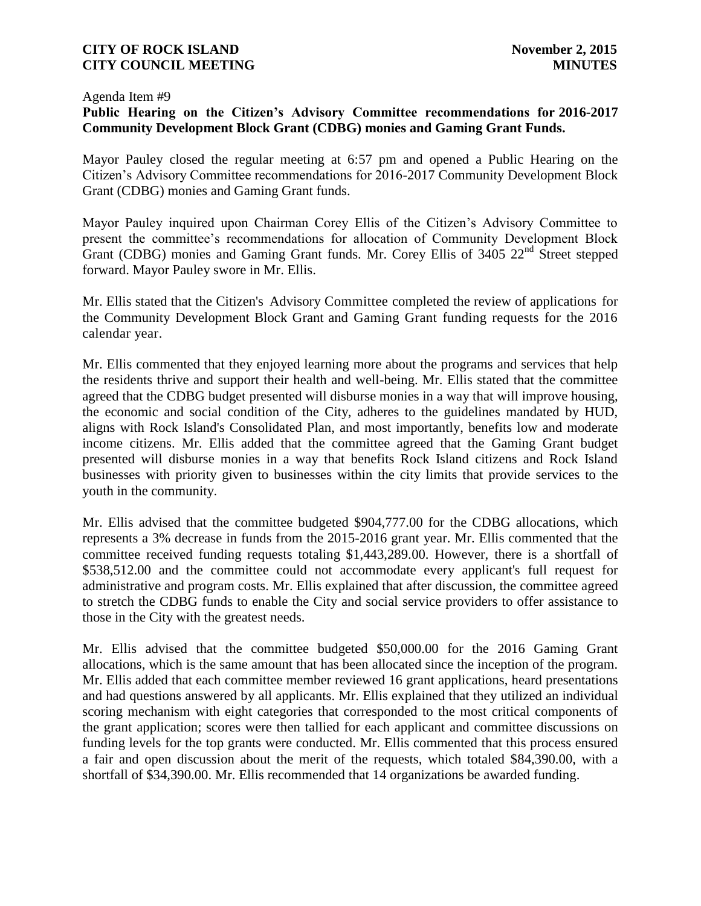#### Agenda Item #9

# **Public Hearing on the Citizen's Advisory Committee recommendations for 2016-2017 Community Development Block Grant (CDBG) monies and Gaming Grant Funds.**

Mayor Pauley closed the regular meeting at 6:57 pm and opened a Public Hearing on the Citizen's Advisory Committee recommendations for 2016-2017 Community Development Block Grant (CDBG) monies and Gaming Grant funds.

Mayor Pauley inquired upon Chairman Corey Ellis of the Citizen's Advisory Committee to present the committee's recommendations for allocation of Community Development Block Grant (CDBG) monies and Gaming Grant funds. Mr. Corey Ellis of 3405 22nd Street stepped forward. Mayor Pauley swore in Mr. Ellis.

Mr. Ellis stated that the Citizen's Advisory Committee completed the review of applications for the Community Development Block Grant and Gaming Grant funding requests for the 2016 calendar year.

Mr. Ellis commented that they enjoyed learning more about the programs and services that help the residents thrive and support their health and well-being. Mr. Ellis stated that the committee agreed that the CDBG budget presented will disburse monies in a way that will improve housing, the economic and social condition of the City, adheres to the guidelines mandated by HUD, aligns with Rock Island's Consolidated Plan, and most importantly, benefits low and moderate income citizens. Mr. Ellis added that the committee agreed that the Gaming Grant budget presented will disburse monies in a way that benefits Rock Island citizens and Rock Island businesses with priority given to businesses within the city limits that provide services to the youth in the community.

Mr. Ellis advised that the committee budgeted \$904,777.00 for the CDBG allocations, which represents a 3% decrease in funds from the 2015-2016 grant year. Mr. Ellis commented that the committee received funding requests totaling \$1,443,289.00. However, there is a shortfall of \$538,512.00 and the committee could not accommodate every applicant's full request for administrative and program costs. Mr. Ellis explained that after discussion, the committee agreed to stretch the CDBG funds to enable the City and social service providers to offer assistance to those in the City with the greatest needs.

Mr. Ellis advised that the committee budgeted \$50,000.00 for the 2016 Gaming Grant allocations, which is the same amount that has been allocated since the inception of the program. Mr. Ellis added that each committee member reviewed 16 grant applications, heard presentations and had questions answered by all applicants. Mr. Ellis explained that they utilized an individual scoring mechanism with eight categories that corresponded to the most critical components of the grant application; scores were then tallied for each applicant and committee discussions on funding levels for the top grants were conducted. Mr. Ellis commented that this process ensured a fair and open discussion about the merit of the requests, which totaled \$84,390.00, with a shortfall of \$34,390.00. Mr. Ellis recommended that 14 organizations be awarded funding.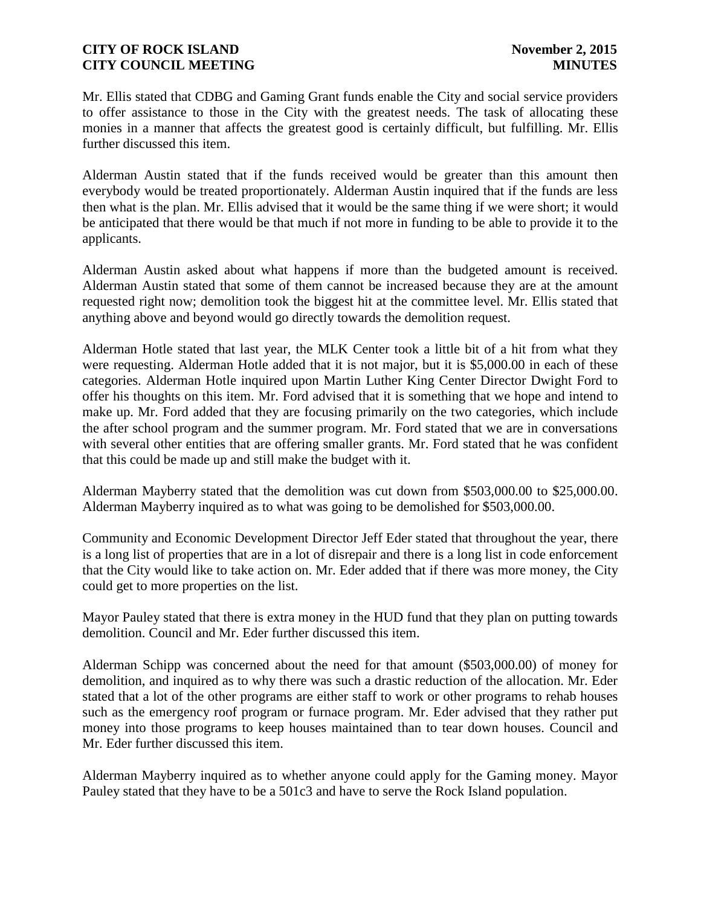Mr. Ellis stated that CDBG and Gaming Grant funds enable the City and social service providers to offer assistance to those in the City with the greatest needs. The task of allocating these monies in a manner that affects the greatest good is certainly difficult, but fulfilling. Mr. Ellis further discussed this item.

Alderman Austin stated that if the funds received would be greater than this amount then everybody would be treated proportionately. Alderman Austin inquired that if the funds are less then what is the plan. Mr. Ellis advised that it would be the same thing if we were short; it would be anticipated that there would be that much if not more in funding to be able to provide it to the applicants.

Alderman Austin asked about what happens if more than the budgeted amount is received. Alderman Austin stated that some of them cannot be increased because they are at the amount requested right now; demolition took the biggest hit at the committee level. Mr. Ellis stated that anything above and beyond would go directly towards the demolition request.

Alderman Hotle stated that last year, the MLK Center took a little bit of a hit from what they were requesting. Alderman Hotle added that it is not major, but it is \$5,000.00 in each of these categories. Alderman Hotle inquired upon Martin Luther King Center Director Dwight Ford to offer his thoughts on this item. Mr. Ford advised that it is something that we hope and intend to make up. Mr. Ford added that they are focusing primarily on the two categories, which include the after school program and the summer program. Mr. Ford stated that we are in conversations with several other entities that are offering smaller grants. Mr. Ford stated that he was confident that this could be made up and still make the budget with it.

Alderman Mayberry stated that the demolition was cut down from \$503,000.00 to \$25,000.00. Alderman Mayberry inquired as to what was going to be demolished for \$503,000.00.

Community and Economic Development Director Jeff Eder stated that throughout the year, there is a long list of properties that are in a lot of disrepair and there is a long list in code enforcement that the City would like to take action on. Mr. Eder added that if there was more money, the City could get to more properties on the list.

Mayor Pauley stated that there is extra money in the HUD fund that they plan on putting towards demolition. Council and Mr. Eder further discussed this item.

Alderman Schipp was concerned about the need for that amount (\$503,000.00) of money for demolition, and inquired as to why there was such a drastic reduction of the allocation. Mr. Eder stated that a lot of the other programs are either staff to work or other programs to rehab houses such as the emergency roof program or furnace program. Mr. Eder advised that they rather put money into those programs to keep houses maintained than to tear down houses. Council and Mr. Eder further discussed this item.

Alderman Mayberry inquired as to whether anyone could apply for the Gaming money. Mayor Pauley stated that they have to be a 501c3 and have to serve the Rock Island population.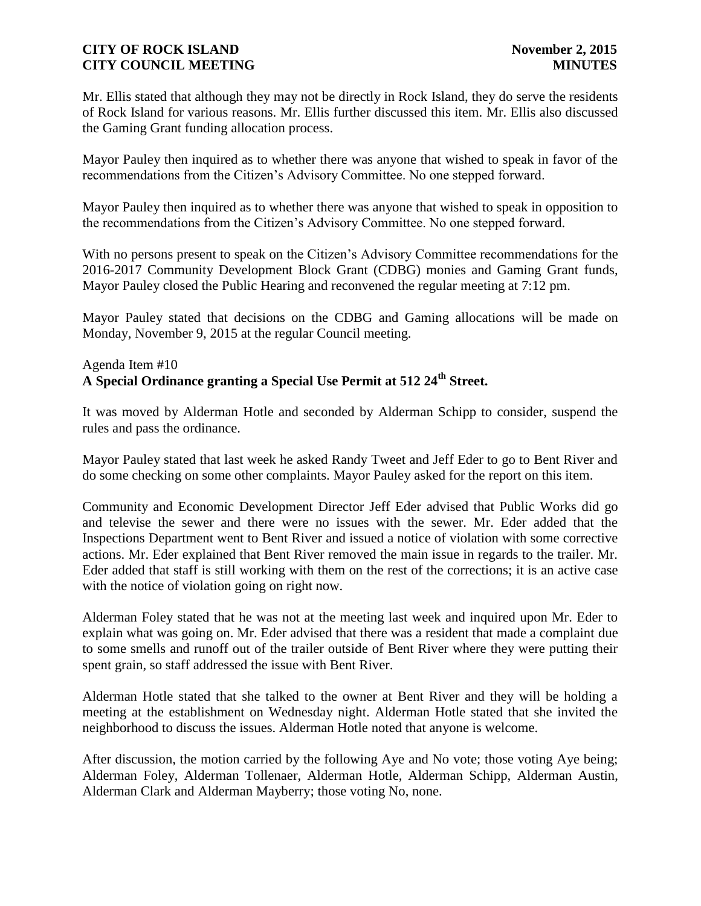Mr. Ellis stated that although they may not be directly in Rock Island, they do serve the residents of Rock Island for various reasons. Mr. Ellis further discussed this item. Mr. Ellis also discussed the Gaming Grant funding allocation process.

Mayor Pauley then inquired as to whether there was anyone that wished to speak in favor of the recommendations from the Citizen's Advisory Committee. No one stepped forward.

Mayor Pauley then inquired as to whether there was anyone that wished to speak in opposition to the recommendations from the Citizen's Advisory Committee. No one stepped forward.

With no persons present to speak on the Citizen's Advisory Committee recommendations for the 2016-2017 Community Development Block Grant (CDBG) monies and Gaming Grant funds, Mayor Pauley closed the Public Hearing and reconvened the regular meeting at 7:12 pm.

Mayor Pauley stated that decisions on the CDBG and Gaming allocations will be made on Monday, November 9, 2015 at the regular Council meeting.

# Agenda Item #10 **A Special Ordinance granting a Special Use Permit at 512 24th Street.**

It was moved by Alderman Hotle and seconded by Alderman Schipp to consider, suspend the rules and pass the ordinance.

Mayor Pauley stated that last week he asked Randy Tweet and Jeff Eder to go to Bent River and do some checking on some other complaints. Mayor Pauley asked for the report on this item.

Community and Economic Development Director Jeff Eder advised that Public Works did go and televise the sewer and there were no issues with the sewer. Mr. Eder added that the Inspections Department went to Bent River and issued a notice of violation with some corrective actions. Mr. Eder explained that Bent River removed the main issue in regards to the trailer. Mr. Eder added that staff is still working with them on the rest of the corrections; it is an active case with the notice of violation going on right now.

Alderman Foley stated that he was not at the meeting last week and inquired upon Mr. Eder to explain what was going on. Mr. Eder advised that there was a resident that made a complaint due to some smells and runoff out of the trailer outside of Bent River where they were putting their spent grain, so staff addressed the issue with Bent River.

Alderman Hotle stated that she talked to the owner at Bent River and they will be holding a meeting at the establishment on Wednesday night. Alderman Hotle stated that she invited the neighborhood to discuss the issues. Alderman Hotle noted that anyone is welcome.

After discussion, the motion carried by the following Aye and No vote; those voting Aye being; Alderman Foley, Alderman Tollenaer, Alderman Hotle, Alderman Schipp, Alderman Austin, Alderman Clark and Alderman Mayberry; those voting No, none.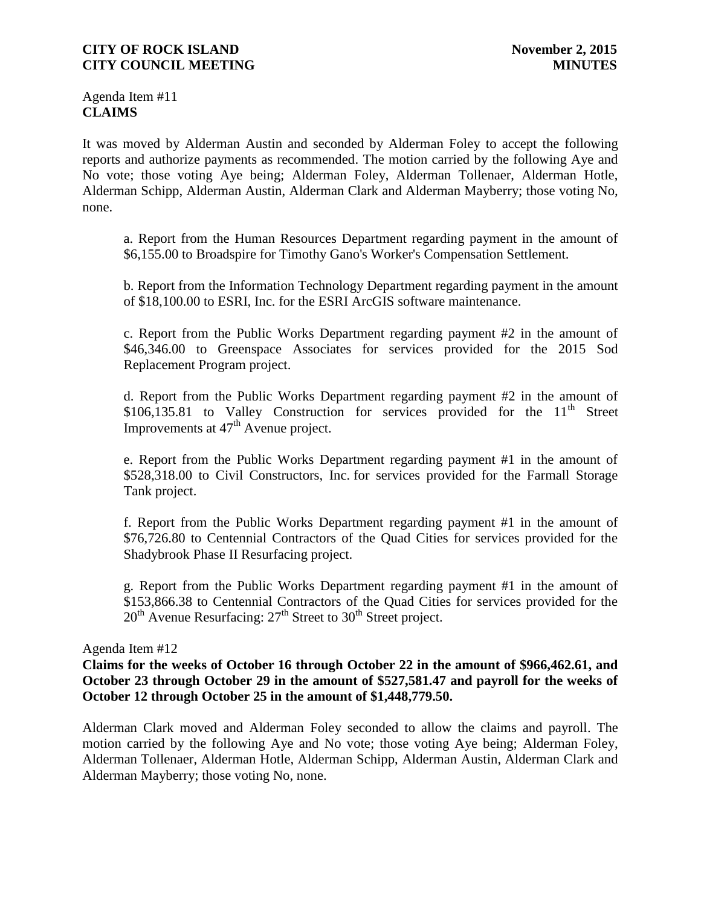Agenda Item #11 **CLAIMS**

It was moved by Alderman Austin and seconded by Alderman Foley to accept the following reports and authorize payments as recommended. The motion carried by the following Aye and No vote; those voting Aye being; Alderman Foley, Alderman Tollenaer, Alderman Hotle, Alderman Schipp, Alderman Austin, Alderman Clark and Alderman Mayberry; those voting No, none.

a. Report from the Human Resources Department regarding payment in the amount of \$6,155.00 to Broadspire for Timothy Gano's Worker's Compensation Settlement.

b. Report from the Information Technology Department regarding payment in the amount of \$18,100.00 to ESRI, Inc. for the ESRI ArcGIS software maintenance.

c. Report from the Public Works Department regarding payment #2 in the amount of \$46,346.00 to Greenspace Associates for services provided for the 2015 Sod Replacement Program project.

d. Report from the Public Works Department regarding payment #2 in the amount of \$106,135.81 to Valley Construction for services provided for the  $11<sup>th</sup>$  Street Improvements at  $47<sup>th</sup>$  Avenue project.

e. Report from the Public Works Department regarding payment #1 in the amount of \$528,318.00 to Civil Constructors, Inc. for services provided for the Farmall Storage Tank project.

f. Report from the Public Works Department regarding payment #1 in the amount of \$76,726.80 to Centennial Contractors of the Quad Cities for services provided for the Shadybrook Phase II Resurfacing project.

g. Report from the Public Works Department regarding payment #1 in the amount of \$153,866.38 to Centennial Contractors of the Quad Cities for services provided for the  $20<sup>th</sup>$  Avenue Resurfacing:  $27<sup>th</sup>$  Street to  $30<sup>th</sup>$  Street project.

#### Agenda Item #12

# **Claims for the weeks of October 16 through October 22 in the amount of \$966,462.61, and October 23 through October 29 in the amount of \$527,581.47 and payroll for the weeks of October 12 through October 25 in the amount of \$1,448,779.50.**

Alderman Clark moved and Alderman Foley seconded to allow the claims and payroll. The motion carried by the following Aye and No vote; those voting Aye being; Alderman Foley, Alderman Tollenaer, Alderman Hotle, Alderman Schipp, Alderman Austin, Alderman Clark and Alderman Mayberry; those voting No, none.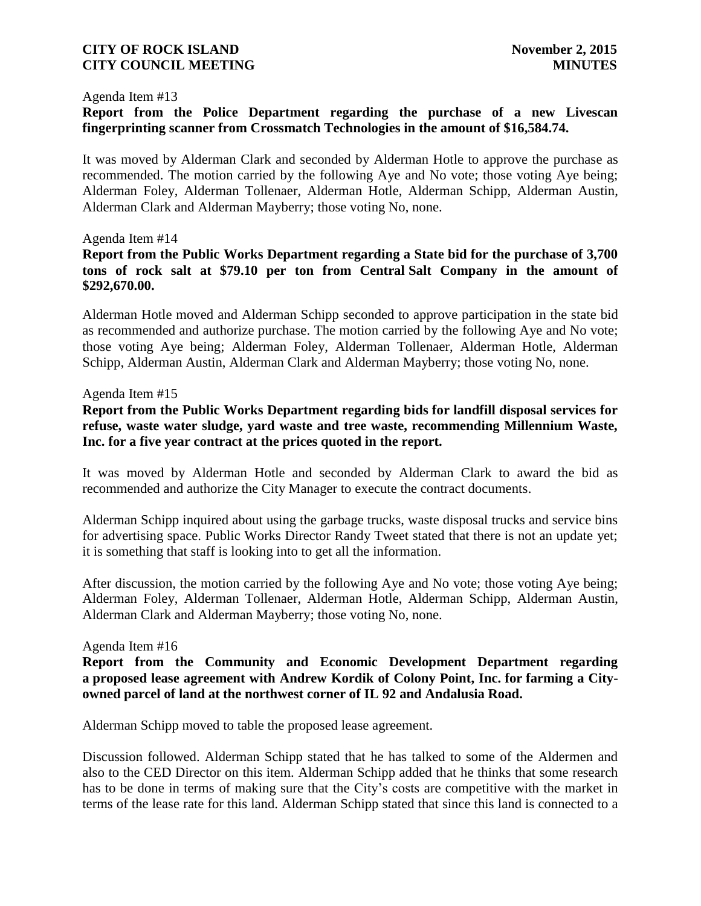#### Agenda Item #13

# **Report from the Police Department regarding the purchase of a new Livescan fingerprinting scanner from Crossmatch Technologies in the amount of \$16,584.74.**

It was moved by Alderman Clark and seconded by Alderman Hotle to approve the purchase as recommended. The motion carried by the following Aye and No vote; those voting Aye being; Alderman Foley, Alderman Tollenaer, Alderman Hotle, Alderman Schipp, Alderman Austin, Alderman Clark and Alderman Mayberry; those voting No, none.

## Agenda Item #14

# **Report from the Public Works Department regarding a State bid for the purchase of 3,700 tons of rock salt at \$79.10 per ton from Central Salt Company in the amount of \$292,670.00.**

Alderman Hotle moved and Alderman Schipp seconded to approve participation in the state bid as recommended and authorize purchase. The motion carried by the following Aye and No vote; those voting Aye being; Alderman Foley, Alderman Tollenaer, Alderman Hotle, Alderman Schipp, Alderman Austin, Alderman Clark and Alderman Mayberry; those voting No, none.

#### Agenda Item #15

**Report from the Public Works Department regarding bids for landfill disposal services for refuse, waste water sludge, yard waste and tree waste, recommending Millennium Waste, Inc. for a five year contract at the prices quoted in the report.** 

It was moved by Alderman Hotle and seconded by Alderman Clark to award the bid as recommended and authorize the City Manager to execute the contract documents.

Alderman Schipp inquired about using the garbage trucks, waste disposal trucks and service bins for advertising space. Public Works Director Randy Tweet stated that there is not an update yet: it is something that staff is looking into to get all the information.

After discussion, the motion carried by the following Aye and No vote; those voting Aye being; Alderman Foley, Alderman Tollenaer, Alderman Hotle, Alderman Schipp, Alderman Austin, Alderman Clark and Alderman Mayberry; those voting No, none.

#### Agenda Item #16

**Report from the Community and Economic Development Department regarding a proposed lease agreement with Andrew Kordik of Colony Point, Inc. for farming a Cityowned parcel of land at the northwest corner of IL 92 and Andalusia Road.**

Alderman Schipp moved to table the proposed lease agreement.

Discussion followed. Alderman Schipp stated that he has talked to some of the Aldermen and also to the CED Director on this item. Alderman Schipp added that he thinks that some research has to be done in terms of making sure that the City's costs are competitive with the market in terms of the lease rate for this land. Alderman Schipp stated that since this land is connected to a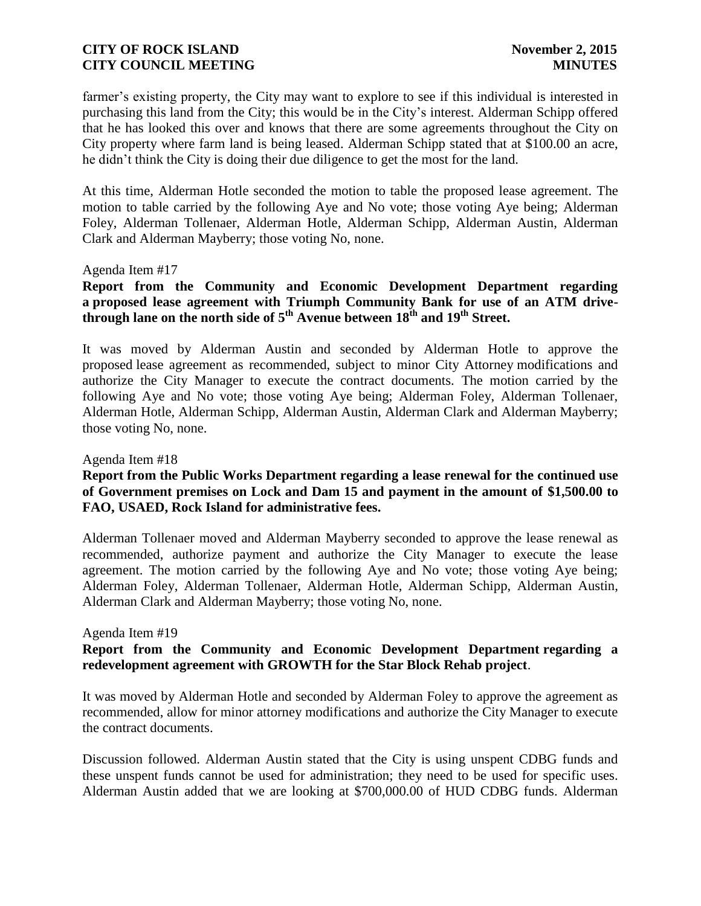farmer's existing property, the City may want to explore to see if this individual is interested in purchasing this land from the City; this would be in the City's interest. Alderman Schipp offered that he has looked this over and knows that there are some agreements throughout the City on City property where farm land is being leased. Alderman Schipp stated that at \$100.00 an acre, he didn't think the City is doing their due diligence to get the most for the land.

At this time, Alderman Hotle seconded the motion to table the proposed lease agreement. The motion to table carried by the following Aye and No vote; those voting Aye being; Alderman Foley, Alderman Tollenaer, Alderman Hotle, Alderman Schipp, Alderman Austin, Alderman Clark and Alderman Mayberry; those voting No, none.

#### Agenda Item #17

# **Report from the Community and Economic Development Department regarding a proposed lease agreement with Triumph Community Bank for use of an ATM drivethrough lane on the north side of 5th Avenue between 18th and 19th Street.**

It was moved by Alderman Austin and seconded by Alderman Hotle to approve the proposed lease agreement as recommended, subject to minor City Attorney modifications and authorize the City Manager to execute the contract documents. The motion carried by the following Aye and No vote; those voting Aye being; Alderman Foley, Alderman Tollenaer, Alderman Hotle, Alderman Schipp, Alderman Austin, Alderman Clark and Alderman Mayberry; those voting No, none.

#### Agenda Item #18

# **Report from the Public Works Department regarding a lease renewal for the continued use of Government premises on Lock and Dam 15 and payment in the amount of \$1,500.00 to FAO, USAED, Rock Island for administrative fees.**

Alderman Tollenaer moved and Alderman Mayberry seconded to approve the lease renewal as recommended, authorize payment and authorize the City Manager to execute the lease agreement. The motion carried by the following Aye and No vote; those voting Aye being; Alderman Foley, Alderman Tollenaer, Alderman Hotle, Alderman Schipp, Alderman Austin, Alderman Clark and Alderman Mayberry; those voting No, none.

#### Agenda Item #19

# **Report from the Community and Economic Development Department regarding a redevelopment agreement with GROWTH for the Star Block Rehab project**.

It was moved by Alderman Hotle and seconded by Alderman Foley to approve the agreement as recommended, allow for minor attorney modifications and authorize the City Manager to execute the contract documents.

Discussion followed. Alderman Austin stated that the City is using unspent CDBG funds and these unspent funds cannot be used for administration; they need to be used for specific uses. Alderman Austin added that we are looking at \$700,000.00 of HUD CDBG funds. Alderman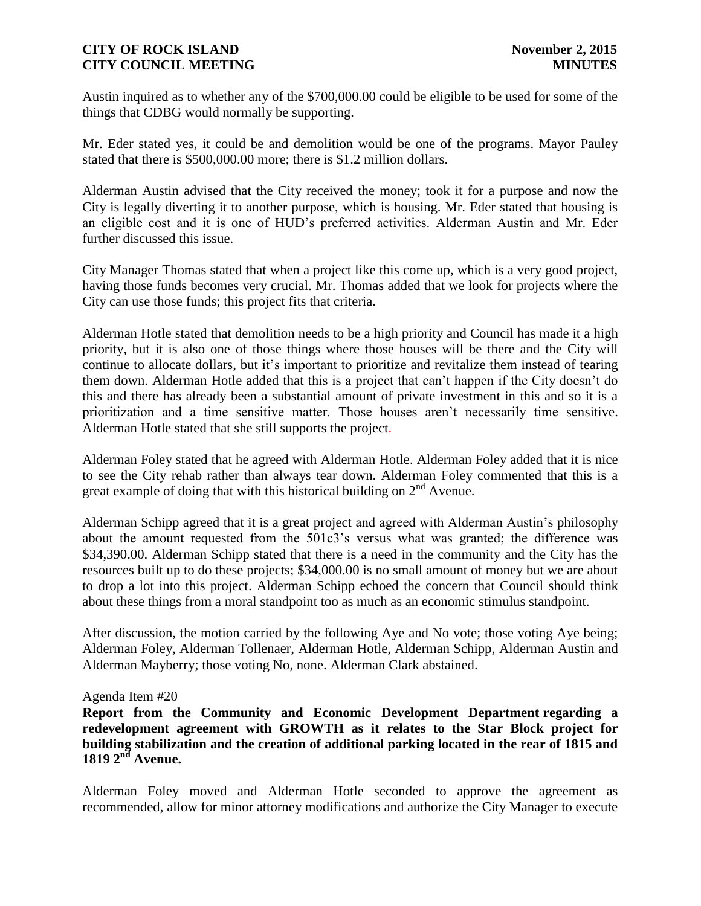Austin inquired as to whether any of the \$700,000.00 could be eligible to be used for some of the things that CDBG would normally be supporting.

Mr. Eder stated yes, it could be and demolition would be one of the programs. Mayor Pauley stated that there is \$500,000.00 more; there is \$1.2 million dollars.

Alderman Austin advised that the City received the money; took it for a purpose and now the City is legally diverting it to another purpose, which is housing. Mr. Eder stated that housing is an eligible cost and it is one of HUD's preferred activities. Alderman Austin and Mr. Eder further discussed this issue.

City Manager Thomas stated that when a project like this come up, which is a very good project, having those funds becomes very crucial. Mr. Thomas added that we look for projects where the City can use those funds; this project fits that criteria.

Alderman Hotle stated that demolition needs to be a high priority and Council has made it a high priority, but it is also one of those things where those houses will be there and the City will continue to allocate dollars, but it's important to prioritize and revitalize them instead of tearing them down. Alderman Hotle added that this is a project that can't happen if the City doesn't do this and there has already been a substantial amount of private investment in this and so it is a prioritization and a time sensitive matter. Those houses aren't necessarily time sensitive. Alderman Hotle stated that she still supports the project.

Alderman Foley stated that he agreed with Alderman Hotle. Alderman Foley added that it is nice to see the City rehab rather than always tear down. Alderman Foley commented that this is a great example of doing that with this historical building on  $2<sup>nd</sup>$  Avenue.

Alderman Schipp agreed that it is a great project and agreed with Alderman Austin's philosophy about the amount requested from the 501c3's versus what was granted; the difference was \$34,390.00. Alderman Schipp stated that there is a need in the community and the City has the resources built up to do these projects; \$34,000.00 is no small amount of money but we are about to drop a lot into this project. Alderman Schipp echoed the concern that Council should think about these things from a moral standpoint too as much as an economic stimulus standpoint.

After discussion, the motion carried by the following Aye and No vote; those voting Aye being; Alderman Foley, Alderman Tollenaer, Alderman Hotle, Alderman Schipp, Alderman Austin and Alderman Mayberry; those voting No, none. Alderman Clark abstained.

## Agenda Item #20

**Report from the Community and Economic Development Department regarding a redevelopment agreement with GROWTH as it relates to the Star Block project for building stabilization and the creation of additional parking located in the rear of 1815 and 1819 2nd Avenue.**

Alderman Foley moved and Alderman Hotle seconded to approve the agreement as recommended, allow for minor attorney modifications and authorize the City Manager to execute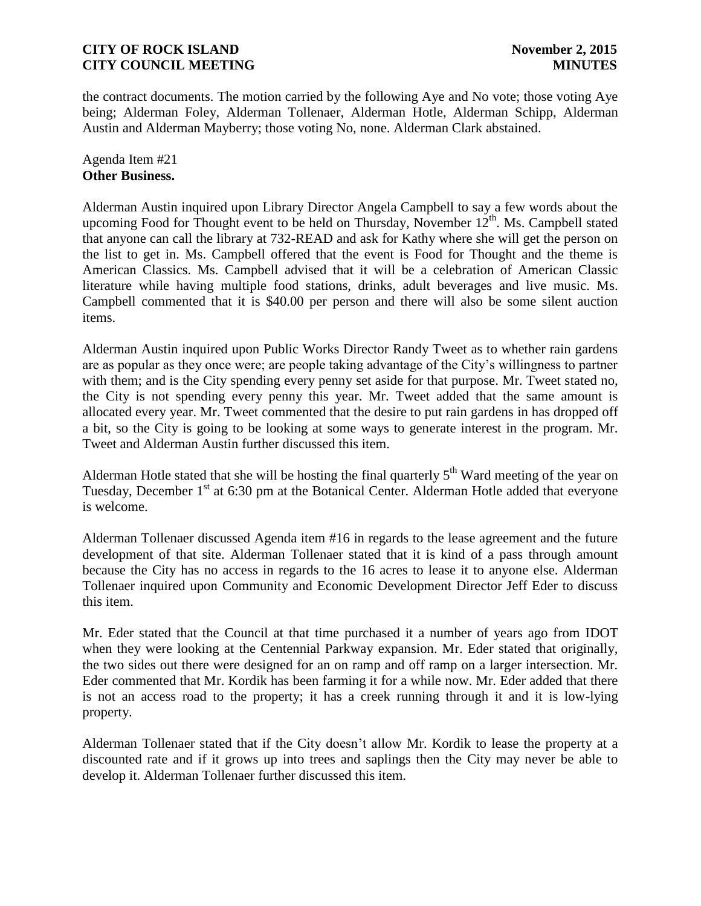the contract documents. The motion carried by the following Aye and No vote; those voting Aye being; Alderman Foley, Alderman Tollenaer, Alderman Hotle, Alderman Schipp, Alderman Austin and Alderman Mayberry; those voting No, none. Alderman Clark abstained.

Agenda Item #21 **Other Business.**

Alderman Austin inquired upon Library Director Angela Campbell to say a few words about the upcoming Food for Thought event to be held on Thursday, November  $12<sup>th</sup>$ . Ms. Campbell stated that anyone can call the library at 732-READ and ask for Kathy where she will get the person on the list to get in. Ms. Campbell offered that the event is Food for Thought and the theme is American Classics. Ms. Campbell advised that it will be a celebration of American Classic literature while having multiple food stations, drinks, adult beverages and live music. Ms. Campbell commented that it is \$40.00 per person and there will also be some silent auction items.

Alderman Austin inquired upon Public Works Director Randy Tweet as to whether rain gardens are as popular as they once were; are people taking advantage of the City's willingness to partner with them; and is the City spending every penny set aside for that purpose. Mr. Tweet stated no, the City is not spending every penny this year. Mr. Tweet added that the same amount is allocated every year. Mr. Tweet commented that the desire to put rain gardens in has dropped off a bit, so the City is going to be looking at some ways to generate interest in the program. Mr. Tweet and Alderman Austin further discussed this item.

Alderman Hotle stated that she will be hosting the final quarterly  $5<sup>th</sup>$  Ward meeting of the year on Tuesday, December 1<sup>st</sup> at 6:30 pm at the Botanical Center. Alderman Hotle added that everyone is welcome.

Alderman Tollenaer discussed Agenda item #16 in regards to the lease agreement and the future development of that site. Alderman Tollenaer stated that it is kind of a pass through amount because the City has no access in regards to the 16 acres to lease it to anyone else. Alderman Tollenaer inquired upon Community and Economic Development Director Jeff Eder to discuss this item.

Mr. Eder stated that the Council at that time purchased it a number of years ago from IDOT when they were looking at the Centennial Parkway expansion. Mr. Eder stated that originally, the two sides out there were designed for an on ramp and off ramp on a larger intersection. Mr. Eder commented that Mr. Kordik has been farming it for a while now. Mr. Eder added that there is not an access road to the property; it has a creek running through it and it is low-lying property.

Alderman Tollenaer stated that if the City doesn't allow Mr. Kordik to lease the property at a discounted rate and if it grows up into trees and saplings then the City may never be able to develop it. Alderman Tollenaer further discussed this item.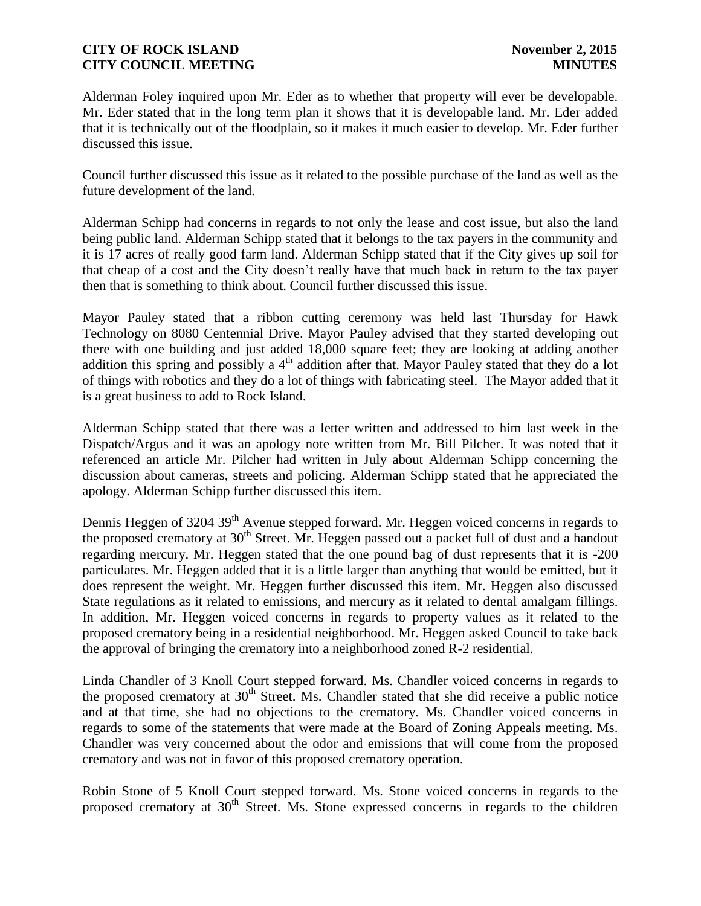Alderman Foley inquired upon Mr. Eder as to whether that property will ever be developable. Mr. Eder stated that in the long term plan it shows that it is developable land. Mr. Eder added that it is technically out of the floodplain, so it makes it much easier to develop. Mr. Eder further discussed this issue.

Council further discussed this issue as it related to the possible purchase of the land as well as the future development of the land.

Alderman Schipp had concerns in regards to not only the lease and cost issue, but also the land being public land. Alderman Schipp stated that it belongs to the tax payers in the community and it is 17 acres of really good farm land. Alderman Schipp stated that if the City gives up soil for that cheap of a cost and the City doesn't really have that much back in return to the tax payer then that is something to think about. Council further discussed this issue.

Mayor Pauley stated that a ribbon cutting ceremony was held last Thursday for Hawk Technology on 8080 Centennial Drive. Mayor Pauley advised that they started developing out there with one building and just added 18,000 square feet; they are looking at adding another addition this spring and possibly a  $4<sup>th</sup>$  addition after that. Mayor Pauley stated that they do a lot of things with robotics and they do a lot of things with fabricating steel. The Mayor added that it is a great business to add to Rock Island.

Alderman Schipp stated that there was a letter written and addressed to him last week in the Dispatch/Argus and it was an apology note written from Mr. Bill Pilcher. It was noted that it referenced an article Mr. Pilcher had written in July about Alderman Schipp concerning the discussion about cameras, streets and policing. Alderman Schipp stated that he appreciated the apology. Alderman Schipp further discussed this item.

Dennis Heggen of 3204 39<sup>th</sup> Avenue stepped forward. Mr. Heggen voiced concerns in regards to the proposed crematory at  $30<sup>th</sup>$  Street. Mr. Heggen passed out a packet full of dust and a handout regarding mercury. Mr. Heggen stated that the one pound bag of dust represents that it is -200 particulates. Mr. Heggen added that it is a little larger than anything that would be emitted, but it does represent the weight. Mr. Heggen further discussed this item. Mr. Heggen also discussed State regulations as it related to emissions, and mercury as it related to dental amalgam fillings. In addition, Mr. Heggen voiced concerns in regards to property values as it related to the proposed crematory being in a residential neighborhood. Mr. Heggen asked Council to take back the approval of bringing the crematory into a neighborhood zoned R-2 residential.

Linda Chandler of 3 Knoll Court stepped forward. Ms. Chandler voiced concerns in regards to the proposed crematory at  $30<sup>th</sup>$  Street. Ms. Chandler stated that she did receive a public notice and at that time, she had no objections to the crematory. Ms. Chandler voiced concerns in regards to some of the statements that were made at the Board of Zoning Appeals meeting. Ms. Chandler was very concerned about the odor and emissions that will come from the proposed crematory and was not in favor of this proposed crematory operation.

Robin Stone of 5 Knoll Court stepped forward. Ms. Stone voiced concerns in regards to the proposed crematory at  $30<sup>th</sup>$  Street. Ms. Stone expressed concerns in regards to the children